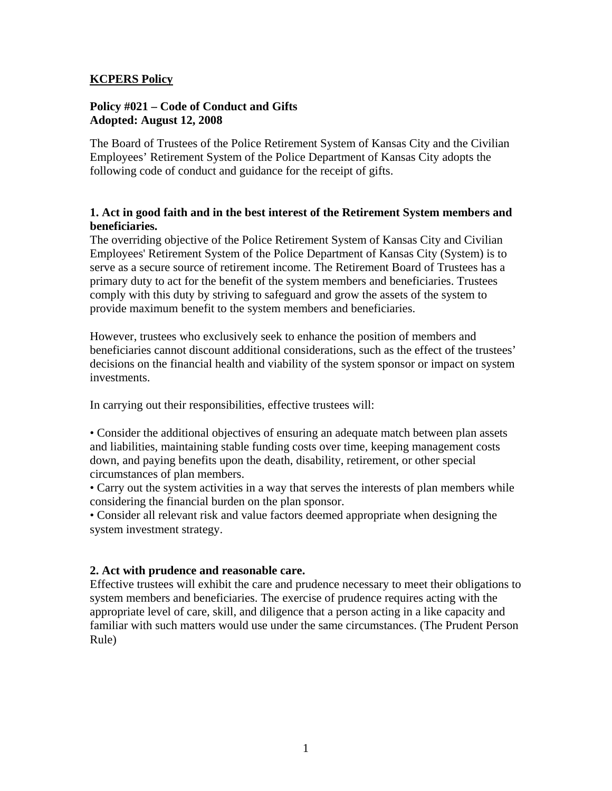### **KCPERS Policy**

### **Policy #021 – Code of Conduct and Gifts Adopted: August 12, 2008**

The Board of Trustees of the Police Retirement System of Kansas City and the Civilian Employees' Retirement System of the Police Department of Kansas City adopts the following code of conduct and guidance for the receipt of gifts.

### **1. Act in good faith and in the best interest of the Retirement System members and beneficiaries.**

The overriding objective of the Police Retirement System of Kansas City and Civilian Employees' Retirement System of the Police Department of Kansas City (System) is to serve as a secure source of retirement income. The Retirement Board of Trustees has a primary duty to act for the benefit of the system members and beneficiaries. Trustees comply with this duty by striving to safeguard and grow the assets of the system to provide maximum benefit to the system members and beneficiaries.

However, trustees who exclusively seek to enhance the position of members and beneficiaries cannot discount additional considerations, such as the effect of the trustees' decisions on the financial health and viability of the system sponsor or impact on system investments.

In carrying out their responsibilities, effective trustees will:

• Consider the additional objectives of ensuring an adequate match between plan assets and liabilities, maintaining stable funding costs over time, keeping management costs down, and paying benefits upon the death, disability, retirement, or other special circumstances of plan members.

• Carry out the system activities in a way that serves the interests of plan members while considering the financial burden on the plan sponsor.

• Consider all relevant risk and value factors deemed appropriate when designing the system investment strategy.

# **2. Act with prudence and reasonable care.**

Effective trustees will exhibit the care and prudence necessary to meet their obligations to system members and beneficiaries. The exercise of prudence requires acting with the appropriate level of care, skill, and diligence that a person acting in a like capacity and familiar with such matters would use under the same circumstances. (The Prudent Person Rule)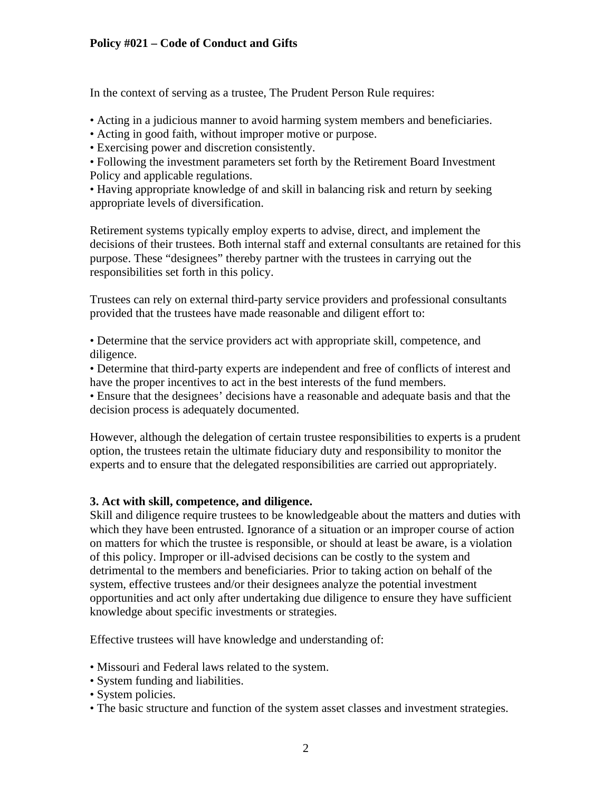In the context of serving as a trustee, The Prudent Person Rule requires:

• Acting in a judicious manner to avoid harming system members and beneficiaries.

• Acting in good faith, without improper motive or purpose.

• Exercising power and discretion consistently.

• Following the investment parameters set forth by the Retirement Board Investment Policy and applicable regulations.

• Having appropriate knowledge of and skill in balancing risk and return by seeking appropriate levels of diversification.

Retirement systems typically employ experts to advise, direct, and implement the decisions of their trustees. Both internal staff and external consultants are retained for this purpose. These "designees" thereby partner with the trustees in carrying out the responsibilities set forth in this policy.

Trustees can rely on external third-party service providers and professional consultants provided that the trustees have made reasonable and diligent effort to:

• Determine that the service providers act with appropriate skill, competence, and diligence.

• Determine that third-party experts are independent and free of conflicts of interest and have the proper incentives to act in the best interests of the fund members.

• Ensure that the designees' decisions have a reasonable and adequate basis and that the decision process is adequately documented.

However, although the delegation of certain trustee responsibilities to experts is a prudent option, the trustees retain the ultimate fiduciary duty and responsibility to monitor the experts and to ensure that the delegated responsibilities are carried out appropriately.

# **3. Act with skill, competence, and diligence.**

Skill and diligence require trustees to be knowledgeable about the matters and duties with which they have been entrusted. Ignorance of a situation or an improper course of action on matters for which the trustee is responsible, or should at least be aware, is a violation of this policy. Improper or ill-advised decisions can be costly to the system and detrimental to the members and beneficiaries. Prior to taking action on behalf of the system, effective trustees and/or their designees analyze the potential investment opportunities and act only after undertaking due diligence to ensure they have sufficient knowledge about specific investments or strategies.

Effective trustees will have knowledge and understanding of:

- Missouri and Federal laws related to the system.
- System funding and liabilities.
- System policies.
- The basic structure and function of the system asset classes and investment strategies.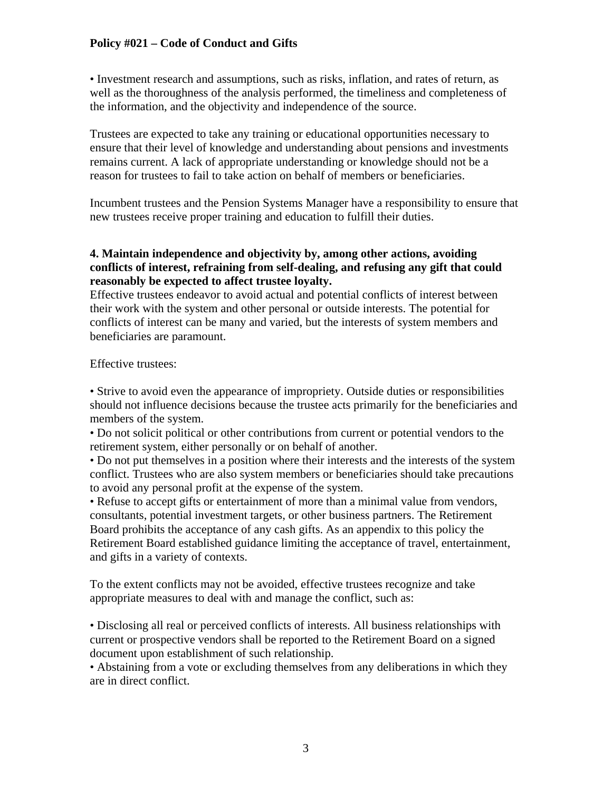• Investment research and assumptions, such as risks, inflation, and rates of return, as well as the thoroughness of the analysis performed, the timeliness and completeness of the information, and the objectivity and independence of the source.

Trustees are expected to take any training or educational opportunities necessary to ensure that their level of knowledge and understanding about pensions and investments remains current. A lack of appropriate understanding or knowledge should not be a reason for trustees to fail to take action on behalf of members or beneficiaries.

Incumbent trustees and the Pension Systems Manager have a responsibility to ensure that new trustees receive proper training and education to fulfill their duties.

## **4. Maintain independence and objectivity by, among other actions, avoiding conflicts of interest, refraining from self-dealing, and refusing any gift that could reasonably be expected to affect trustee loyalty.**

Effective trustees endeavor to avoid actual and potential conflicts of interest between their work with the system and other personal or outside interests. The potential for conflicts of interest can be many and varied, but the interests of system members and beneficiaries are paramount.

Effective trustees:

• Strive to avoid even the appearance of impropriety. Outside duties or responsibilities should not influence decisions because the trustee acts primarily for the beneficiaries and members of the system.

• Do not solicit political or other contributions from current or potential vendors to the retirement system, either personally or on behalf of another.

• Do not put themselves in a position where their interests and the interests of the system conflict. Trustees who are also system members or beneficiaries should take precautions to avoid any personal profit at the expense of the system.

• Refuse to accept gifts or entertainment of more than a minimal value from vendors, consultants, potential investment targets, or other business partners. The Retirement Board prohibits the acceptance of any cash gifts. As an appendix to this policy the Retirement Board established guidance limiting the acceptance of travel, entertainment, and gifts in a variety of contexts.

To the extent conflicts may not be avoided, effective trustees recognize and take appropriate measures to deal with and manage the conflict, such as:

• Disclosing all real or perceived conflicts of interests. All business relationships with current or prospective vendors shall be reported to the Retirement Board on a signed document upon establishment of such relationship.

• Abstaining from a vote or excluding themselves from any deliberations in which they are in direct conflict.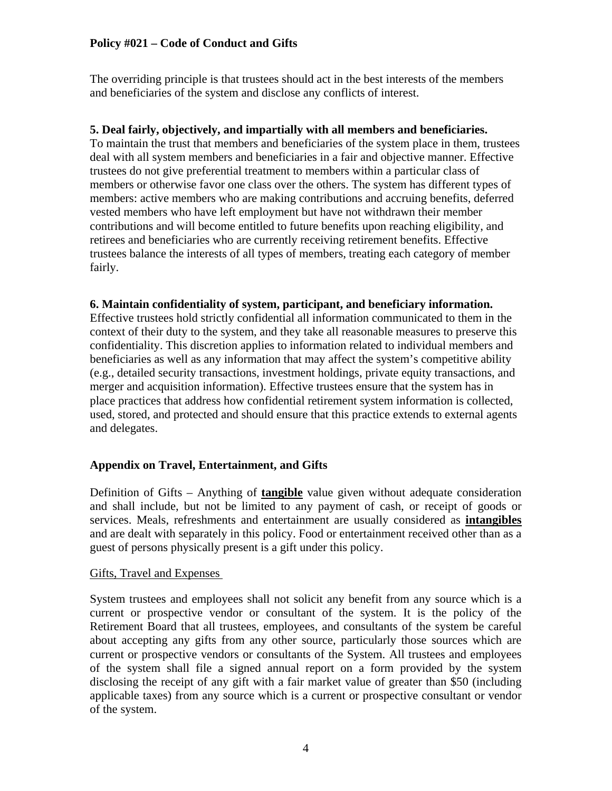The overriding principle is that trustees should act in the best interests of the members and beneficiaries of the system and disclose any conflicts of interest.

## **5. Deal fairly, objectively, and impartially with all members and beneficiaries.**

To maintain the trust that members and beneficiaries of the system place in them, trustees deal with all system members and beneficiaries in a fair and objective manner. Effective trustees do not give preferential treatment to members within a particular class of members or otherwise favor one class over the others. The system has different types of members: active members who are making contributions and accruing benefits, deferred vested members who have left employment but have not withdrawn their member contributions and will become entitled to future benefits upon reaching eligibility, and retirees and beneficiaries who are currently receiving retirement benefits. Effective trustees balance the interests of all types of members, treating each category of member fairly.

## **6. Maintain confidentiality of system, participant, and beneficiary information.**

Effective trustees hold strictly confidential all information communicated to them in the context of their duty to the system, and they take all reasonable measures to preserve this confidentiality. This discretion applies to information related to individual members and beneficiaries as well as any information that may affect the system's competitive ability (e.g., detailed security transactions, investment holdings, private equity transactions, and merger and acquisition information). Effective trustees ensure that the system has in place practices that address how confidential retirement system information is collected, used, stored, and protected and should ensure that this practice extends to external agents and delegates.

# **Appendix on Travel, Entertainment, and Gifts**

Definition of Gifts – Anything of **tangible** value given without adequate consideration and shall include, but not be limited to any payment of cash, or receipt of goods or services. Meals, refreshments and entertainment are usually considered as **intangibles** and are dealt with separately in this policy. Food or entertainment received other than as a guest of persons physically present is a gift under this policy.

### Gifts, Travel and Expenses

System trustees and employees shall not solicit any benefit from any source which is a current or prospective vendor or consultant of the system. It is the policy of the Retirement Board that all trustees, employees, and consultants of the system be careful about accepting any gifts from any other source, particularly those sources which are current or prospective vendors or consultants of the System. All trustees and employees of the system shall file a signed annual report on a form provided by the system disclosing the receipt of any gift with a fair market value of greater than \$50 (including applicable taxes) from any source which is a current or prospective consultant or vendor of the system.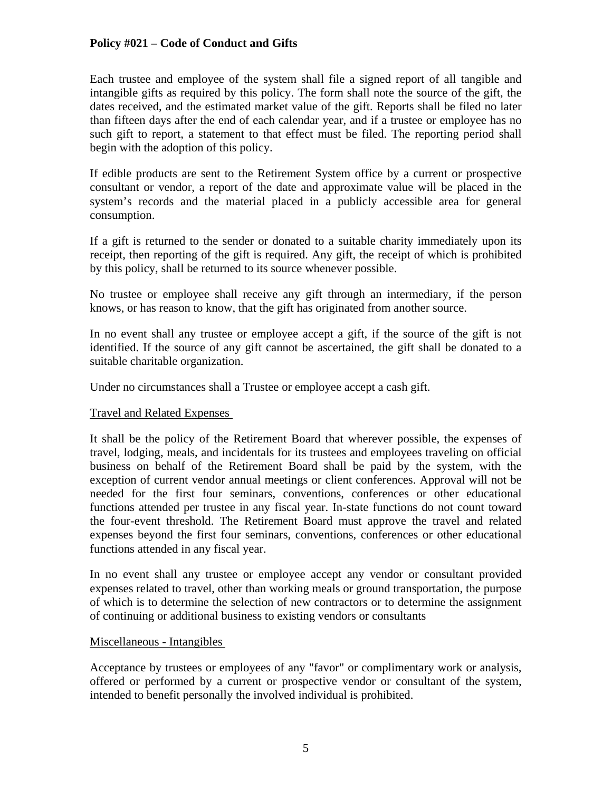Each trustee and employee of the system shall file a signed report of all tangible and intangible gifts as required by this policy. The form shall note the source of the gift, the dates received, and the estimated market value of the gift. Reports shall be filed no later than fifteen days after the end of each calendar year, and if a trustee or employee has no such gift to report, a statement to that effect must be filed. The reporting period shall begin with the adoption of this policy.

If edible products are sent to the Retirement System office by a current or prospective consultant or vendor, a report of the date and approximate value will be placed in the system's records and the material placed in a publicly accessible area for general consumption.

If a gift is returned to the sender or donated to a suitable charity immediately upon its receipt, then reporting of the gift is required. Any gift, the receipt of which is prohibited by this policy, shall be returned to its source whenever possible.

No trustee or employee shall receive any gift through an intermediary, if the person knows, or has reason to know, that the gift has originated from another source.

In no event shall any trustee or employee accept a gift, if the source of the gift is not identified. If the source of any gift cannot be ascertained, the gift shall be donated to a suitable charitable organization.

Under no circumstances shall a Trustee or employee accept a cash gift.

### Travel and Related Expenses

It shall be the policy of the Retirement Board that wherever possible, the expenses of travel, lodging, meals, and incidentals for its trustees and employees traveling on official business on behalf of the Retirement Board shall be paid by the system, with the exception of current vendor annual meetings or client conferences. Approval will not be needed for the first four seminars, conventions, conferences or other educational functions attended per trustee in any fiscal year. In-state functions do not count toward the four-event threshold. The Retirement Board must approve the travel and related expenses beyond the first four seminars, conventions, conferences or other educational functions attended in any fiscal year.

In no event shall any trustee or employee accept any vendor or consultant provided expenses related to travel, other than working meals or ground transportation, the purpose of which is to determine the selection of new contractors or to determine the assignment of continuing or additional business to existing vendors or consultants

### Miscellaneous - Intangibles

Acceptance by trustees or employees of any "favor" or complimentary work or analysis, offered or performed by a current or prospective vendor or consultant of the system, intended to benefit personally the involved individual is prohibited.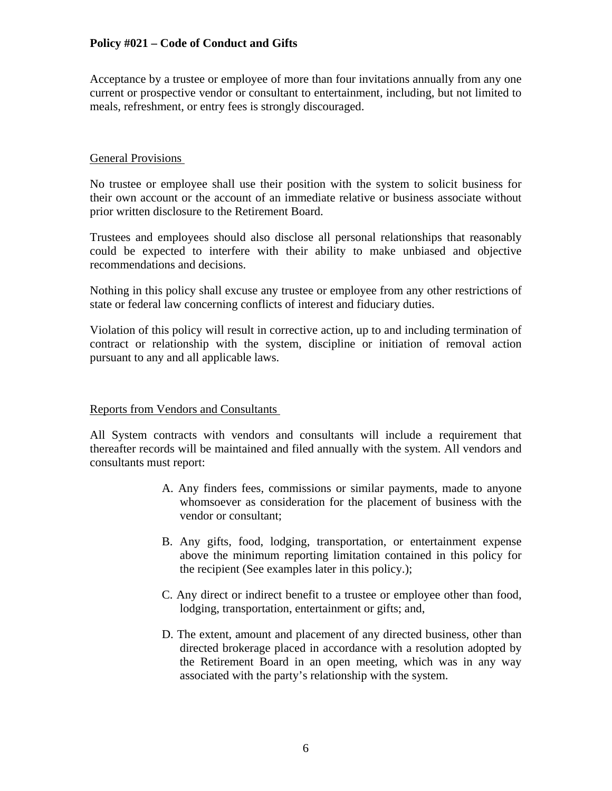Acceptance by a trustee or employee of more than four invitations annually from any one current or prospective vendor or consultant to entertainment, including, but not limited to meals, refreshment, or entry fees is strongly discouraged.

### General Provisions

No trustee or employee shall use their position with the system to solicit business for their own account or the account of an immediate relative or business associate without prior written disclosure to the Retirement Board.

Trustees and employees should also disclose all personal relationships that reasonably could be expected to interfere with their ability to make unbiased and objective recommendations and decisions.

Nothing in this policy shall excuse any trustee or employee from any other restrictions of state or federal law concerning conflicts of interest and fiduciary duties.

Violation of this policy will result in corrective action, up to and including termination of contract or relationship with the system, discipline or initiation of removal action pursuant to any and all applicable laws.

### Reports from Vendors and Consultants

All System contracts with vendors and consultants will include a requirement that thereafter records will be maintained and filed annually with the system. All vendors and consultants must report:

- A. Any finders fees, commissions or similar payments, made to anyone whomsoever as consideration for the placement of business with the vendor or consultant;
- B. Any gifts, food, lodging, transportation, or entertainment expense above the minimum reporting limitation contained in this policy for the recipient (See examples later in this policy.);
- C. Any direct or indirect benefit to a trustee or employee other than food, lodging, transportation, entertainment or gifts; and,
- D. The extent, amount and placement of any directed business, other than directed brokerage placed in accordance with a resolution adopted by the Retirement Board in an open meeting, which was in any way associated with the party's relationship with the system.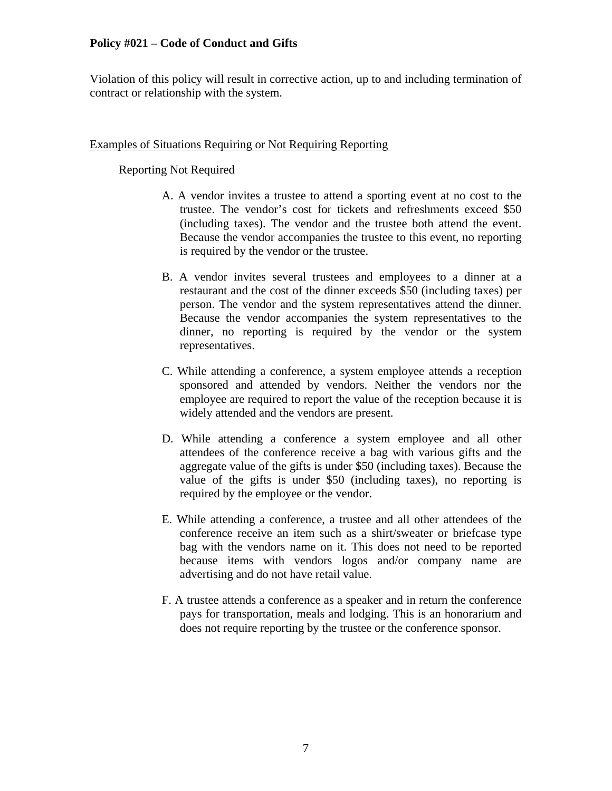Violation of this policy will result in corrective action, up to and including termination of contract or relationship with the system.

### Examples of Situations Requiring or Not Requiring Reporting

## Reporting Not Required

- A. A vendor invites a trustee to attend a sporting event at no cost to the trustee. The vendor's cost for tickets and refreshments exceed \$50 (including taxes). The vendor and the trustee both attend the event. Because the vendor accompanies the trustee to this event, no reporting is required by the vendor or the trustee.
- B. A vendor invites several trustees and employees to a dinner at a restaurant and the cost of the dinner exceeds \$50 (including taxes) per person. The vendor and the system representatives attend the dinner. Because the vendor accompanies the system representatives to the dinner, no reporting is required by the vendor or the system representatives.
- C. While attending a conference, a system employee attends a reception sponsored and attended by vendors. Neither the vendors nor the employee are required to report the value of the reception because it is widely attended and the vendors are present.
- D. While attending a conference a system employee and all other attendees of the conference receive a bag with various gifts and the aggregate value of the gifts is under \$50 (including taxes). Because the value of the gifts is under \$50 (including taxes), no reporting is required by the employee or the vendor.
- E. While attending a conference, a trustee and all other attendees of the conference receive an item such as a shirt/sweater or briefcase type bag with the vendors name on it. This does not need to be reported because items with vendors logos and/or company name are advertising and do not have retail value.
- F. A trustee attends a conference as a speaker and in return the conference pays for transportation, meals and lodging. This is an honorarium and does not require reporting by the trustee or the conference sponsor.